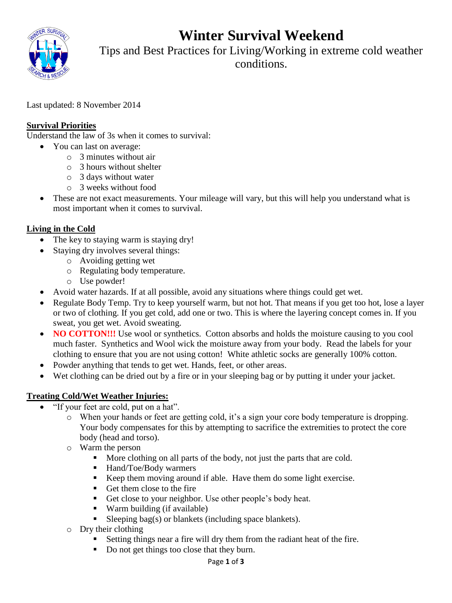**Winter Survival Weekend**



Tips and Best Practices for Living/Working in extreme cold weather conditions.

Last updated: 8 November 2014

## **Survival Priorities**

Understand the law of 3s when it comes to survival:

- You can last on average:
	- o 3 minutes without air
	- o 3 hours without shelter
	- o 3 days without water
	- o 3 weeks without food
- These are not exact measurements. Your mileage will vary, but this will help you understand what is most important when it comes to survival.

# **Living in the Cold**

- The key to staying warm is staying dry!
- Staying dry involves several things:
	- o Avoiding getting wet
	- o Regulating body temperature.
	- o Use powder!
- Avoid water hazards. If at all possible, avoid any situations where things could get wet.
- Regulate Body Temp. Try to keep yourself warm, but not hot. That means if you get too hot, lose a layer or two of clothing. If you get cold, add one or two. This is where the layering concept comes in. If you sweat, you get wet. Avoid sweating.
- NO COTTON!!! Use wool or synthetics. Cotton absorbs and holds the moisture causing to you cool much faster. Synthetics and Wool wick the moisture away from your body. Read the labels for your clothing to ensure that you are not using cotton! White athletic socks are generally 100% cotton.
- Powder anything that tends to get wet. Hands, feet, or other areas.
- Wet clothing can be dried out by a fire or in your sleeping bag or by putting it under your jacket.

### **Treating Cold/Wet Weather Injuries:**

- "If your feet are cold, put on a hat".
	- o When your hands or feet are getting cold, it's a sign your core body temperature is dropping. Your body compensates for this by attempting to sacrifice the extremities to protect the core body (head and torso).
	- o Warm the person
		- More clothing on all parts of the body, not just the parts that are cold.
		- Hand/Toe/Body warmers
		- Keep them moving around if able. Have them do some light exercise.
		- Get them close to the fire
		- Get close to your neighbor. Use other people's body heat.
		- Warm building (if available)
		- Sleeping bag(s) or blankets (including space blankets).
	- o Dry their clothing
		- Setting things near a fire will dry them from the radiant heat of the fire.
		- Do not get things too close that they burn.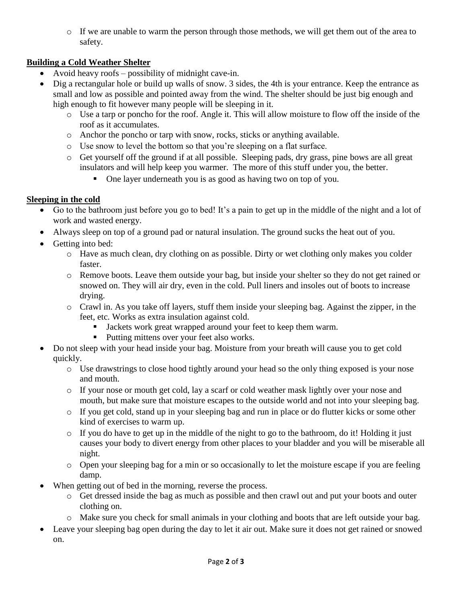o If we are unable to warm the person through those methods, we will get them out of the area to safety.

## **Building a Cold Weather Shelter**

- Avoid heavy roofs possibility of midnight cave-in.
- Dig a rectangular hole or build up walls of snow. 3 sides, the 4th is your entrance. Keep the entrance as small and low as possible and pointed away from the wind. The shelter should be just big enough and high enough to fit however many people will be sleeping in it.
	- o Use a tarp or poncho for the roof. Angle it. This will allow moisture to flow off the inside of the roof as it accumulates.
	- o Anchor the poncho or tarp with snow, rocks, sticks or anything available.
	- o Use snow to level the bottom so that you're sleeping on a flat surface.
	- o Get yourself off the ground if at all possible. Sleeping pads, dry grass, pine bows are all great insulators and will help keep you warmer. The more of this stuff under you, the better.
		- One layer underneath you is as good as having two on top of you.

# **Sleeping in the cold**

- Go to the bathroom just before you go to bed! It's a pain to get up in the middle of the night and a lot of work and wasted energy.
- Always sleep on top of a ground pad or natural insulation. The ground sucks the heat out of you.
- Getting into bed:
	- o Have as much clean, dry clothing on as possible. Dirty or wet clothing only makes you colder faster.
	- o Remove boots. Leave them outside your bag, but inside your shelter so they do not get rained or snowed on. They will air dry, even in the cold. Pull liners and insoles out of boots to increase drying.
	- o Crawl in. As you take off layers, stuff them inside your sleeping bag. Against the zipper, in the feet, etc. Works as extra insulation against cold.
		- I Jackets work great wrapped around your feet to keep them warm.
		- Putting mittens over your feet also works.
- Do not sleep with your head inside your bag. Moisture from your breath will cause you to get cold quickly.
	- o Use drawstrings to close hood tightly around your head so the only thing exposed is your nose and mouth.
	- o If your nose or mouth get cold, lay a scarf or cold weather mask lightly over your nose and mouth, but make sure that moisture escapes to the outside world and not into your sleeping bag.
	- o If you get cold, stand up in your sleeping bag and run in place or do flutter kicks or some other kind of exercises to warm up.
	- o If you do have to get up in the middle of the night to go to the bathroom, do it! Holding it just causes your body to divert energy from other places to your bladder and you will be miserable all night.
	- o Open your sleeping bag for a min or so occasionally to let the moisture escape if you are feeling damp.
- When getting out of bed in the morning, reverse the process.
	- o Get dressed inside the bag as much as possible and then crawl out and put your boots and outer clothing on.
	- o Make sure you check for small animals in your clothing and boots that are left outside your bag.
- Leave your sleeping bag open during the day to let it air out. Make sure it does not get rained or snowed on.